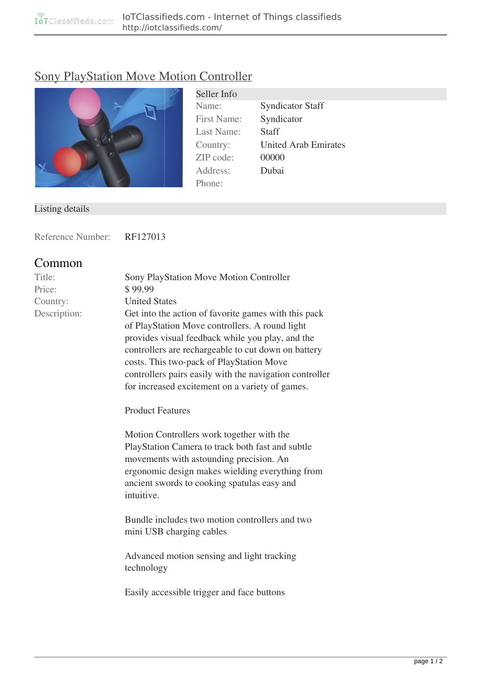## [Sony PlayStation Move Motion Controller](http://iotclassifieds.com/products/iot-hardware/sony-playstation-move-motion-controller-129.html)



Seller Info Name: Syndicator Staff First Name: Syndicator Last Name: Staff Country: United Arab Emirates ZIP code: 00000 Address: Dubai Phone:

## Listing details

Reference Number: RF127013

## **Common**

| Title:       | <b>Sony PlayStation Move Motion Controller</b>       |
|--------------|------------------------------------------------------|
| Price:       | \$99.99                                              |
| Country:     | <b>United States</b>                                 |
| Description: | Get into the action of favorite games with this pack |
|              | of PlayStation Move controllers. A round light       |
|              | provides visual feedback while you play, and the     |
|              | controllers are rechargeable to cut down on battery  |

controllers are rechargeable to cut down on battery costs. This two-pack of PlayStation Move controllers pairs easily with the navigation controller for increased excitement on a variety of games.

**Product Features**

Motion Controllers work together with the PlayStation Camera to track both fast and subtle movements with astounding precision. An ergonomic design makes wielding everything from ancient swords to cooking spatulas easy and intuitive.

Bundle includes two motion controllers and two mini USB charging cables

Advanced motion sensing and light tracking technology

Easily accessible trigger and face buttons